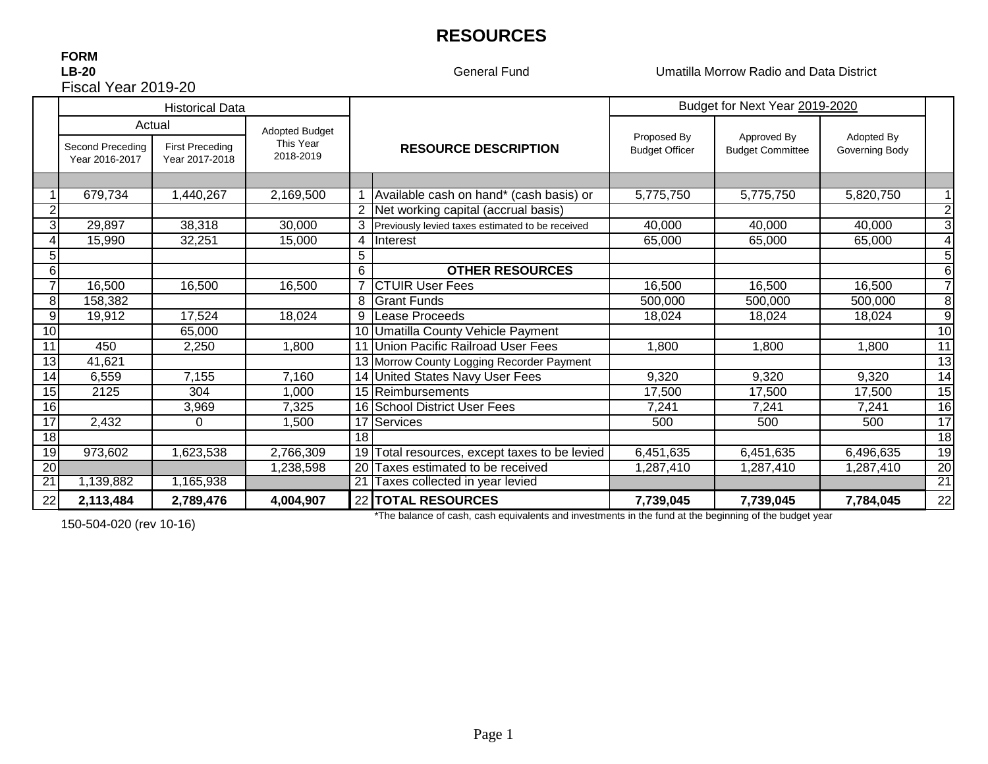# **RESOURCES**

### **FORM LB-20**Fiscal Year 2019-20

General Fund

Umatilla Morrow Radio and Data District

|                 |                                                                                                                                             | <b>Historical Data</b> |           |                             |                                                  | Budget for Next Year 2019-2020         |                              |           |                 |
|-----------------|---------------------------------------------------------------------------------------------------------------------------------------------|------------------------|-----------|-----------------------------|--------------------------------------------------|----------------------------------------|------------------------------|-----------|-----------------|
|                 | Actual<br><b>Adopted Budget</b><br>This Year<br>Second Preceding<br><b>First Preceding</b><br>2018-2019<br>Year 2016-2017<br>Year 2017-2018 |                        |           | <b>RESOURCE DESCRIPTION</b> | Proposed By<br><b>Budget Officer</b>             | Approved By<br><b>Budget Committee</b> | Adopted By<br>Governing Body |           |                 |
|                 |                                                                                                                                             |                        |           |                             |                                                  |                                        |                              |           |                 |
|                 | 679,734                                                                                                                                     | 1,440,267              | 2,169,500 |                             | Available cash on hand* (cash basis) or          | 5,775,750                              | 5,775,750                    | 5,820,750 |                 |
|                 |                                                                                                                                             |                        |           |                             | 2 Net working capital (accrual basis)            |                                        |                              |           | $\overline{2}$  |
| 3               | 29,897                                                                                                                                      | 38,318                 | 30,000    |                             | Previously levied taxes estimated to be received | 40,000                                 | 40,000                       | 40,000    | 3               |
|                 | 15,990                                                                                                                                      | 32,251                 | 15,000    | 4                           | <b>Interest</b>                                  | 65,000                                 | 65,000                       | 65,000    | 4               |
|                 |                                                                                                                                             |                        |           | 5                           |                                                  |                                        |                              |           | 5               |
| 6               |                                                                                                                                             |                        |           | 6                           | <b>OTHER RESOURCES</b>                           |                                        |                              |           | 6               |
|                 | 16,500                                                                                                                                      | 16,500                 | 16,500    | $\overline{7}$              | <b>CTUIR User Fees</b>                           | 16,500                                 | 16,500                       | 16,500    | $\overline{7}$  |
| 8               | 158,382                                                                                                                                     |                        |           | 8                           | <b>Grant Funds</b>                               | 500,000                                | 500,000                      | 500,000   | 8               |
| 9               | 19,912                                                                                                                                      | 17,524                 | 18,024    | 9                           | Lease Proceeds                                   | 18,024                                 | 18,024                       | 18,024    | 9               |
| 10              |                                                                                                                                             | 65,000                 |           |                             | 10 Umatilla County Vehicle Payment               |                                        |                              |           | $\overline{10}$ |
| 11              | 450                                                                                                                                         | 2,250                  | 1,800     |                             | Union Pacific Railroad User Fees                 | 1,800                                  | 1,800                        | 1,800     | 11              |
| 13              | 41,621                                                                                                                                      |                        |           |                             | 13 Morrow County Logging Recorder Payment        |                                        |                              |           | $\overline{13}$ |
| 14              | 6,559                                                                                                                                       | 7,155                  | 7,160     |                             | 14 United States Navy User Fees                  | 9,320                                  | 9,320                        | 9,320     | 14              |
| 15              | 2125                                                                                                                                        | 304                    | 000,      |                             | 15 Reimbursements                                | 17,500                                 | 17,500                       | 17,500    | $\overline{15}$ |
| 16              |                                                                                                                                             | 3,969                  | 7,325     |                             | 16 School District User Fees                     | 7,241                                  | 7,241                        | 7,241     | $\overline{16}$ |
| $\overline{17}$ | 2,432                                                                                                                                       | $\Omega$               | 1,500     | 17                          | Services                                         | 500                                    | 500                          | 500       | $\overline{17}$ |
| 18              |                                                                                                                                             |                        |           | 18                          |                                                  |                                        |                              |           | 18              |
| 19              | 973,602                                                                                                                                     | ,623,538               | 2,766,309 | 19 <sub>l</sub>             | Total resources, except taxes to be levied       | 6,451,635                              | 6,451,635                    | 6,496,635 | $\overline{19}$ |
| $\overline{20}$ |                                                                                                                                             |                        | 1,238,598 | 20                          | Taxes estimated to be received                   | 1,287,410                              | 1,287,410                    | 1,287,410 | $\overline{20}$ |
| $\overline{21}$ | 1,139,882                                                                                                                                   | 1,165,938              |           | $\overline{21}$             | Taxes collected in year levied                   |                                        |                              |           | 21              |
| 22              | 2,113,484                                                                                                                                   | 2,789,476              | 4,004,907 |                             | 22 TOTAL RESOURCES                               | 7,739,045                              | 7,739,045                    | 7,784,045 | 22              |

150-504-020 (rev 10-16)

\*The balance of cash, cash equivalents and investments in the fund at the beginning of the budget year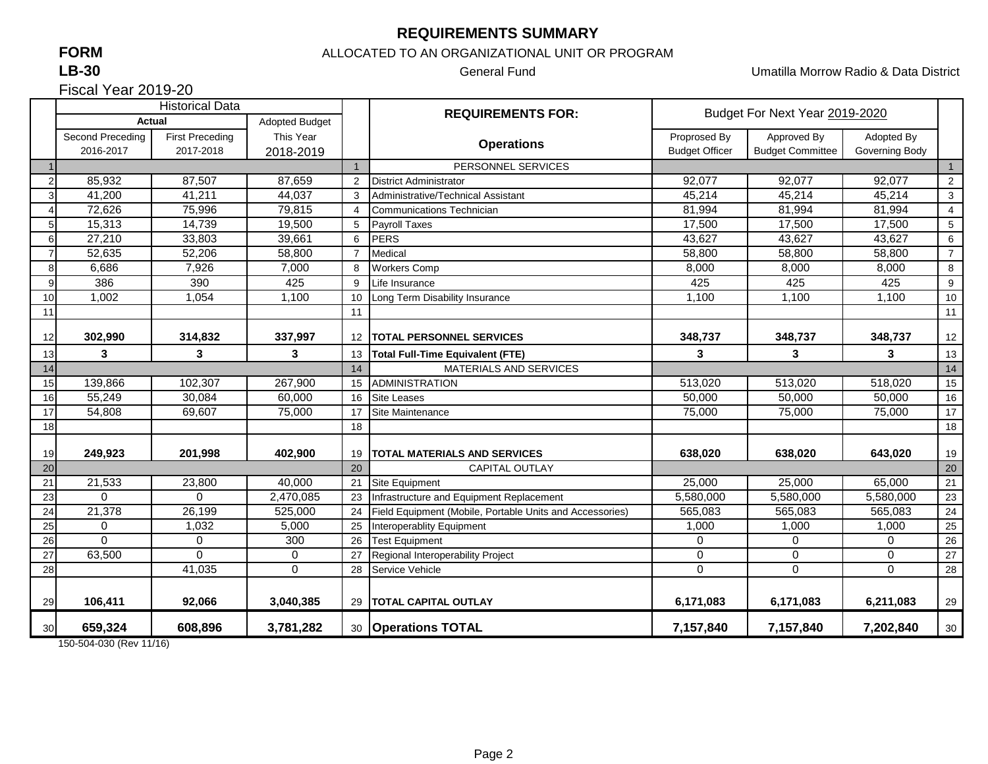## **REQUIREMENTS SUMMARY**

# **FORM**

#### **LB-30**

ALLOCATED TO AN ORGANIZATIONAL UNIT OR PROGRAM

General Fund Umatilla Morrow Radio & Data District

Fiscal Year 2019-20

|                | <b>Historical Data</b>                 |                                     |                        |                               | <b>REQUIREMENTS FOR:</b>                                 | Budget For Next Year 2019-2020        |                                        |                              |                         |
|----------------|----------------------------------------|-------------------------------------|------------------------|-------------------------------|----------------------------------------------------------|---------------------------------------|----------------------------------------|------------------------------|-------------------------|
|                | <b>Actual</b><br><b>Adopted Budget</b> |                                     |                        |                               |                                                          |                                       |                                        |                              |                         |
|                | Second Preceding<br>2016-2017          | <b>First Preceding</b><br>2017-2018 | This Year<br>2018-2019 |                               | <b>Operations</b>                                        | Proprosed By<br><b>Budget Officer</b> | Approved By<br><b>Budget Committee</b> | Adopted By<br>Governing Body |                         |
|                |                                        |                                     |                        |                               | PERSONNEL SERVICES                                       |                                       |                                        |                              | $\mathbf{1}$            |
| $\overline{2}$ | 85,932                                 | 87,507                              | 87,659                 | 2                             | <b>District Administrator</b>                            | 92,077                                | 92.077                                 | 92,077                       | $\overline{2}$          |
|                | 41,200                                 | 41,211                              | 44,037                 | 3                             | Administrative/Technical Assistant                       | 45,214                                | 45,214                                 | 45,214                       | $\sqrt{3}$              |
|                | 72,626                                 | 75,996                              | 79,815                 | 4                             | <b>Communications Technician</b>                         | 81,994                                | 81,994                                 | 81,994                       | $\overline{\mathbf{4}}$ |
| 5              | 15,313                                 | 14,739                              | 19,500                 | 5                             | <b>Payroll Taxes</b>                                     | 17,500                                | 17,500                                 | 17,500                       | $\sqrt{5}$              |
| $6 \mid$       | 27,210                                 | 33,803                              | 39,661                 | 6                             | <b>PERS</b>                                              | 43,627                                | 43,627                                 | 43,627                       | $\,6\,$                 |
| $\overline{7}$ | 52,635                                 | 52,206                              | 58,800                 | $\overline{7}$                | Medical                                                  | 58,800                                | 58,800                                 | 58,800                       | $\overline{7}$          |
| 8              | 6,686                                  | 7,926                               | 7,000                  | 8                             | <b>Workers Comp</b>                                      | 8,000                                 | 8,000                                  | 8,000                        | 8                       |
| 9              | 386                                    | 390                                 | 425                    | 9                             | Life Insurance                                           | 425                                   | 425                                    | 425                          | $\boldsymbol{9}$        |
| 10             | 1,002                                  | 1,054                               | 1,100                  | 10                            | Long Term Disability Insurance                           | 1,100                                 | 1,100                                  | 1,100                        | 10                      |
| 11             |                                        |                                     |                        | 11                            |                                                          |                                       |                                        |                              | 11                      |
| 12             | 302,990                                | 314,832                             | 337,997                | $12 \overline{ }$             | <b>TOTAL PERSONNEL SERVICES</b>                          | 348,737                               | 348,737                                | 348,737                      | 12                      |
| 13             | 3                                      | 3                                   | 3                      | 13                            | <b>Total Full-Time Equivalent (FTE)</b>                  | 3                                     | 3                                      | 3                            | 13                      |
| 14             |                                        |                                     | 14                     | <b>MATERIALS AND SERVICES</b> |                                                          |                                       |                                        | 14                           |                         |
| 15             | 139,866                                | 102,307                             | 267,900                | 15                            | <b>ADMINISTRATION</b>                                    | 513,020                               | 513,020                                | 518,020                      | 15                      |
| 16             | 55,249                                 | 30,084                              | 60,000                 | 16                            | <b>Site Leases</b>                                       | 50,000                                | 50,000                                 | 50,000                       | 16                      |
| 17             | 54,808                                 | 69,607                              | 75,000                 | 17                            | Site Maintenance                                         | 75,000                                | 75,000                                 | 75,000                       | 17                      |
| 18             |                                        |                                     |                        | 18                            |                                                          |                                       |                                        |                              | 18                      |
| 19             | 249,923                                | 201,998                             | 402,900                | 19                            | <b>TOTAL MATERIALS AND SERVICES</b>                      | 638,020                               | 638.020                                | 643,020                      | 19                      |
| 20             |                                        |                                     |                        | 20                            | <b>CAPITAL OUTLAY</b>                                    |                                       |                                        |                              | 20                      |
| 21             | 21,533                                 | 23,800                              | 40,000                 | 21                            | Site Equipment                                           | 25,000                                | 25,000                                 | 65,000                       | 21                      |
| 23             | $\Omega$                               | $\Omega$                            | 2,470,085              | 23                            | Infrastructure and Equipment Replacement                 | 5,580,000                             | 5,580,000                              | 5,580,000                    | $\overline{23}$         |
| 24             | 21,378                                 | 26,199                              | 525,000                | 24                            | Field Equipment (Mobile, Portable Units and Accessories) | 565,083                               | 565,083                                | 565,083                      | 24                      |
| 25             | $\mathbf 0$                            | 1,032                               | 5,000                  | 25                            | Interoperablity Equipment                                | 1,000                                 | 1,000                                  | 1,000                        | 25                      |
| 26             | $\Omega$                               | 0                                   | 300                    | 26                            | <b>Test Equipment</b>                                    | 0                                     | 0                                      | $\mathbf 0$                  | $26\,$                  |
| 27             | 63,500                                 | $\Omega$                            | 0                      | 27                            | Regional Interoperability Project                        | 0                                     | 0                                      | $\mathbf 0$                  | 27                      |
| 28             |                                        | 41,035                              | 0                      | 28                            | Service Vehicle                                          | 0                                     | $\mathbf 0$                            | $\Omega$                     | 28                      |
|                |                                        |                                     |                        |                               |                                                          |                                       |                                        |                              |                         |
| 29             | 106,411                                | 92,066                              | 3,040,385              |                               | 29   TOTAL CAPITAL OUTLAY                                | 6,171,083                             | 6,171,083                              | 6,211,083                    | 29                      |
| 30             | 659,324                                | 608,896                             | 3,781,282              |                               | 30 Operations TOTAL                                      | 7,157,840                             | 7,157,840                              | 7,202,840                    | $30\,$                  |

150-504-030 (Rev 11/16)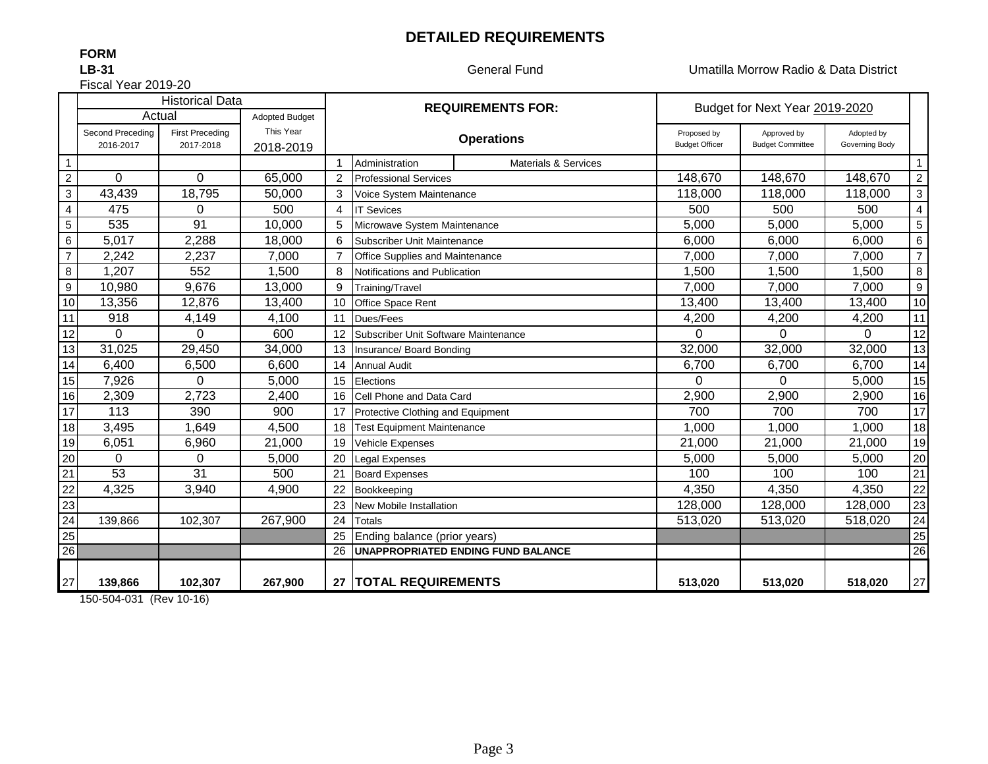## **DETAILED REQUIREMENTS**

### **FORM**

**LB-31**

General Fund Umatilla Morrow Radio & Data District

Fiscal Year 2019-20

|                         |                  | <b>Historical Data</b> |                       | <b>REQUIREMENTS FOR:</b> |                                      |                                         | Budget for Next Year 2019-2020 |                         |                |                |
|-------------------------|------------------|------------------------|-----------------------|--------------------------|--------------------------------------|-----------------------------------------|--------------------------------|-------------------------|----------------|----------------|
|                         | Actual           |                        | <b>Adopted Budget</b> |                          |                                      |                                         |                                |                         |                |                |
|                         | Second Preceding | <b>First Preceding</b> | This Year             |                          | <b>Operations</b>                    |                                         | Proposed by                    | Approved by             | Adopted by     |                |
|                         | 2016-2017        | 2017-2018              | 2018-2019             |                          |                                      |                                         | <b>Budget Officer</b>          | <b>Budget Committee</b> | Governing Body |                |
| $\overline{1}$          |                  |                        |                       |                          | Administration                       | <b>Materials &amp; Services</b>         |                                |                         |                | $\mathbf{1}$   |
| $\overline{2}$          | $\overline{0}$   | $\mathbf 0$            | 65,000                | 2                        | <b>Professional Services</b>         |                                         | 148,670                        | 148,670                 | 148,670        | $\overline{a}$ |
| 3                       | 43,439           | 18,795                 | 50,000                | 3                        | Voice System Maintenance             |                                         | 118,000                        | 118,000                 | 118,000        | 3              |
| $\overline{\mathbf{4}}$ | 475              | $\Omega$               | 500                   | 4                        | <b>IT Sevices</b>                    |                                         | 500                            | 500                     | 500            | $\overline{4}$ |
| 5                       | 535              | 91                     | 10,000                | 5                        | Microwave System Maintenance         |                                         | 5,000                          | 5,000                   | 5,000          | 5              |
| 6                       | 5,017            | 2,288                  | 18,000                | 6                        | Subscriber Unit Maintenance          |                                         | 6,000                          | 6,000                   | 6,000          | 6              |
| $\overline{7}$          | 2,242            | 2,237                  | 7,000                 |                          | Office Supplies and Maintenance      |                                         | 7,000                          | 7,000                   | 7,000          | $\overline{7}$ |
| $\bf 8$                 | 1,207            | 552                    | 1,500                 | 8                        | Notifications and Publication        |                                         | 1,500                          | 1,500                   | 1,500          | 8              |
| $\mathsf g$             | 10,980           | 9,676                  | 13,000                | 9                        | Training/Travel                      |                                         | 7,000                          | 7,000                   | 7,000          | 9              |
| 10                      | 13,356           | 12,876                 | 13,400                | 10                       | Office Space Rent                    |                                         | 13,400                         | 13,400                  | 13,400         | 10             |
| 11                      | 918              | 4,149                  | 4,100                 | 11                       | Dues/Fees                            | 4,200                                   | 4,200                          | 4,200                   | 11             |                |
| 12                      | $\Omega$         | 0                      | 600                   |                          | Subscriber Unit Software Maintenance | $\Omega$                                | $\Omega$                       | $\Omega$                | 12             |                |
| 13                      | 31,025           | 29,450                 | 34,000                | 13                       | Insurance/ Board Bonding             |                                         | 32,000                         | 32,000                  | 32,000         | 13             |
| 14                      | 6,400            | 6,500                  | 6,600                 | 14                       | <b>Annual Audit</b>                  |                                         | 6,700                          | 6,700                   | 6,700          | 14             |
| 15                      | 7,926            | $\Omega$               | 5,000                 | 15                       | Elections                            |                                         | 0                              | $\Omega$                | 5,000          | 15             |
| 16                      | 2,309            | 2,723                  | 2,400                 | 16                       | Cell Phone and Data Card             |                                         | 2,900                          | 2,900                   | 2,900          | 16             |
| 17                      | 113              | 390                    | 900                   |                          | Protective Clothing and Equipment    |                                         | 700                            | 700                     | 700            | 17             |
| 18                      | 3,495            | 1,649                  | 4,500                 | 18                       | <b>Test Equipment Maintenance</b>    |                                         | 1,000                          | 1,000                   | 1,000          | 18             |
| 19                      | 6,051            | 6,960                  | 21,000                | 19                       | <b>Vehicle Expenses</b>              |                                         | 21,000                         | 21,000                  | 21,000         | 19             |
| 20                      | $\Omega$         | 0                      | 5,000                 | 20                       | <b>Legal Expenses</b>                |                                         | 5,000                          | 5,000                   | 5,000          | 20             |
| 21                      | 53               | 31                     | 500                   | 21                       | <b>Board Expenses</b>                |                                         | 100                            | 100                     | 100            | 21             |
| 22                      | 4,325            | 3,940                  | 4,900                 | 22                       | Bookkeeping                          |                                         | 4,350                          | 4,350                   | 4,350          | 22             |
| 23                      |                  |                        |                       | 23                       | New Mobile Installation              |                                         | 128,000                        | 128,000                 | 128,000        | 23             |
| $\overline{24}$         | 139,866          | 102,307                | 267,900               | 24                       | <b>Totals</b>                        |                                         | 513,020                        | 513,020                 | 518,020        | 24             |
| 25                      |                  |                        |                       | 25                       | Ending balance (prior years)         |                                         |                                |                         |                | 25             |
| 26                      |                  |                        |                       |                          |                                      | 26   UNAPPROPRIATED ENDING FUND BALANCE |                                |                         |                | 26             |
|                         |                  |                        |                       |                          |                                      |                                         |                                |                         |                |                |
| 27                      | 139,866          | 102,307                | 267,900               |                          | 27   TOTAL REQUIREMENTS              |                                         | 513,020                        | 513,020                 | 518,020        | 27             |

150-504-031 (Rev 10-16)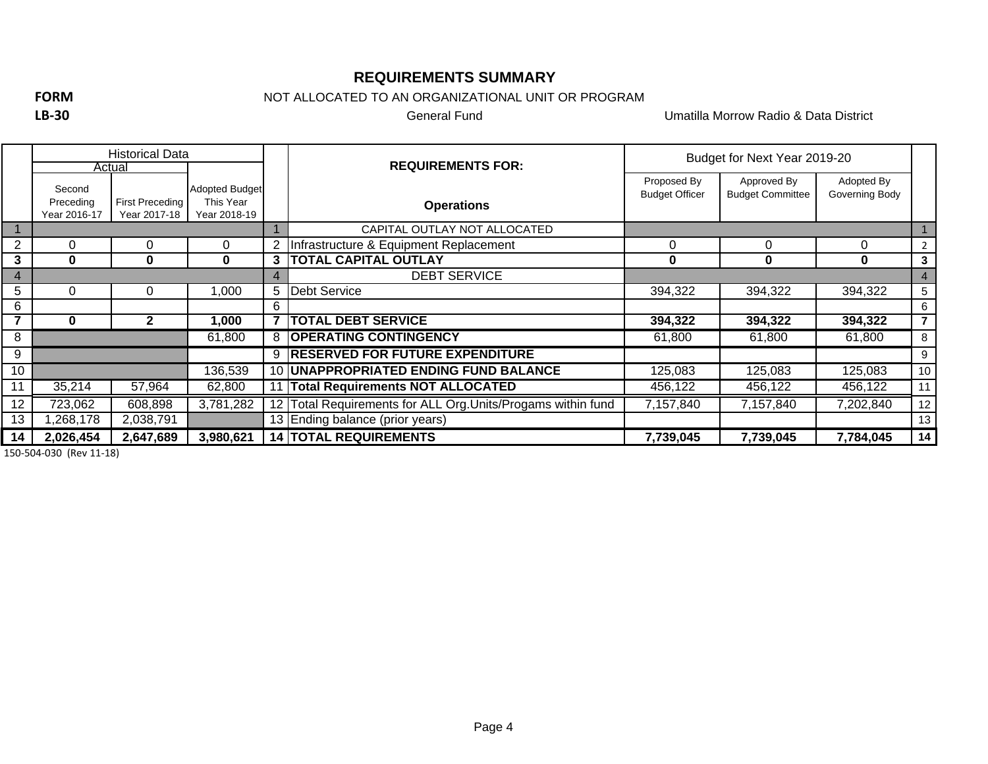## **REQUIREMENTS SUMMARY**

**FORM**

**LB‐30**

NOT ALLOCATED TO AN ORGANIZATIONAL UNIT OR PROGRAM

General Fund

Umatilla Morrow Radio & Data District

|    | <b>Historical Data</b>              |                                        |                                             |                          |                                                              | Budget for Next Year 2019-20         |                                        |                              |                 |
|----|-------------------------------------|----------------------------------------|---------------------------------------------|--------------------------|--------------------------------------------------------------|--------------------------------------|----------------------------------------|------------------------------|-----------------|
|    | Actual                              |                                        |                                             | <b>REQUIREMENTS FOR:</b> |                                                              |                                      |                                        |                              |                 |
|    | Second<br>Preceding<br>Year 2016-17 | <b>First Preceding</b><br>Year 2017-18 | Adopted Budget<br>This Year<br>Year 2018-19 |                          | <b>Operations</b>                                            | Proposed By<br><b>Budget Officer</b> | Approved By<br><b>Budget Committee</b> | Adopted By<br>Governing Body |                 |
|    |                                     |                                        |                                             |                          | CAPITAL OUTLAY NOT ALLOCATED                                 |                                      |                                        |                              |                 |
| 2  | 0                                   | 0                                      | 0                                           |                          | Infrastructure & Equipment Replacement                       | 0                                    | $\Omega$                               | 0                            | $\overline{2}$  |
| 3  | 0                                   | 0                                      | $\bf{0}$                                    | 3                        | <b>TOTAL CAPITAL OUTLAY</b>                                  | 0                                    | 0                                      | 0                            | 3               |
| 4  |                                     |                                        |                                             |                          | <b>DEBT SERVICE</b>                                          |                                      |                                        |                              | $\overline{4}$  |
| 5  | $\Omega$                            | 0                                      | 000,1                                       | 5                        | Debt Service                                                 | 394,322                              | 394,322                                | 394,322                      | 5               |
| 6  |                                     |                                        |                                             | 6                        |                                                              |                                      |                                        |                              | 6               |
|    | 0                                   | 2                                      | 000,                                        |                          | <b>TOTAL DEBT SERVICE</b>                                    | 394,322                              | 394,322                                | 394,322                      | $\overline{7}$  |
| 8  |                                     |                                        | 61,800                                      |                          | 8 OPERATING CONTINGENCY                                      | 61,800                               | 61,800                                 | 61,800                       | 8               |
| 9  |                                     |                                        |                                             |                          | <b>9 RESERVED FOR FUTURE EXPENDITURE</b>                     |                                      |                                        |                              | 9               |
| 10 |                                     |                                        | 136,539                                     |                          | <b>10  UNAPPROPRIATED ENDING FUND BALANCE</b>                | 125,083                              | 125,083                                | 125,083                      | 10 <sup>°</sup> |
| 11 | 35,214                              | 57,964                                 | 62,800                                      |                          | <b>Total Requirements NOT ALLOCATED</b>                      | 456,122                              | 456,122                                | 456,122                      | 11              |
| 12 | 723,062                             | 608,898                                | 3,781,282                                   |                          | 12 Total Requirements for ALL Org. Units/Progams within fund | 7,157,840                            | 7,157,840                              | 7,202,840                    | 12              |
| 13 | 1,268,178                           | 2,038,791                              |                                             |                          | 13 Ending balance (prior years)                              |                                      |                                        |                              | 13              |
| 14 | 2,026,454                           | 2,647,689                              | 3,980,621                                   |                          | <b>14 TOTAL REQUIREMENTS</b>                                 | 7,739,045                            | 7,739,045                              | 7,784,045                    | 14              |

150‐504‐030 (Rev 11‐18)